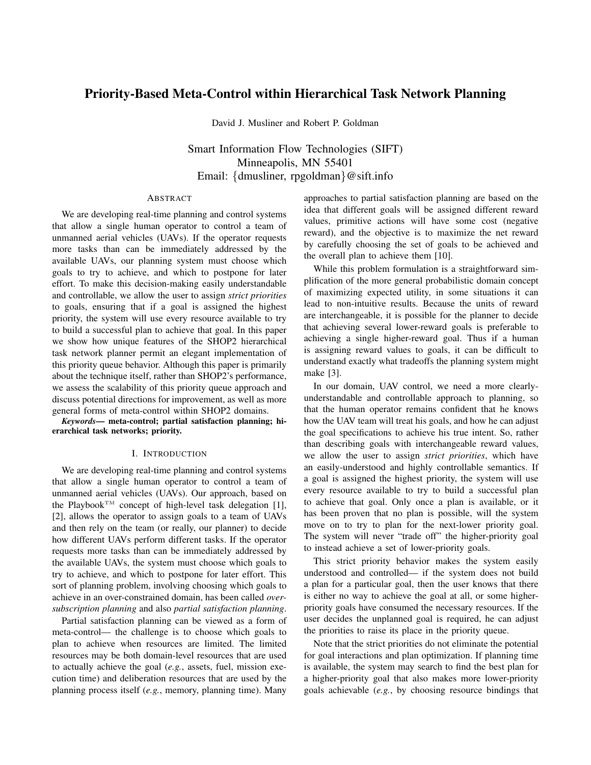# Priority-Based Meta-Control within Hierarchical Task Network Planning

David J. Musliner and Robert P. Goldman

Smart Information Flow Technologies (SIFT) Minneapolis, MN 55401 Email: {dmusliner, rpgoldman}@sift.info

#### ABSTRACT

We are developing real-time planning and control systems that allow a single human operator to control a team of unmanned aerial vehicles (UAVs). If the operator requests more tasks than can be immediately addressed by the available UAVs, our planning system must choose which goals to try to achieve, and which to postpone for later effort. To make this decision-making easily understandable and controllable, we allow the user to assign *strict priorities* to goals, ensuring that if a goal is assigned the highest priority, the system will use every resource available to try to build a successful plan to achieve that goal. In this paper we show how unique features of the SHOP2 hierarchical task network planner permit an elegant implementation of this priority queue behavior. Although this paper is primarily about the technique itself, rather than SHOP2's performance, we assess the scalability of this priority queue approach and discuss potential directions for improvement, as well as more general forms of meta-control within SHOP2 domains.

*Keywords*— meta-control; partial satisfaction planning; hierarchical task networks; priority.

#### I. INTRODUCTION

We are developing real-time planning and control systems that allow a single human operator to control a team of unmanned aerial vehicles (UAVs). Our approach, based on the Playbook<sup>TM</sup> concept of high-level task delegation [1], [2], allows the operator to assign goals to a team of UAVs and then rely on the team (or really, our planner) to decide how different UAVs perform different tasks. If the operator requests more tasks than can be immediately addressed by the available UAVs, the system must choose which goals to try to achieve, and which to postpone for later effort. This sort of planning problem, involving choosing which goals to achieve in an over-constrained domain, has been called *oversubscription planning* and also *partial satisfaction planning*.

Partial satisfaction planning can be viewed as a form of meta-control— the challenge is to choose which goals to plan to achieve when resources are limited. The limited resources may be both domain-level resources that are used to actually achieve the goal (*e.g.*, assets, fuel, mission execution time) and deliberation resources that are used by the planning process itself (*e.g.*, memory, planning time). Many approaches to partial satisfaction planning are based on the idea that different goals will be assigned different reward values, primitive actions will have some cost (negative reward), and the objective is to maximize the net reward by carefully choosing the set of goals to be achieved and the overall plan to achieve them [10].

While this problem formulation is a straightforward simplification of the more general probabilistic domain concept of maximizing expected utility, in some situations it can lead to non-intuitive results. Because the units of reward are interchangeable, it is possible for the planner to decide that achieving several lower-reward goals is preferable to achieving a single higher-reward goal. Thus if a human is assigning reward values to goals, it can be difficult to understand exactly what tradeoffs the planning system might make [3].

In our domain, UAV control, we need a more clearlyunderstandable and controllable approach to planning, so that the human operator remains confident that he knows how the UAV team will treat his goals, and how he can adjust the goal specifications to achieve his true intent. So, rather than describing goals with interchangeable reward values, we allow the user to assign *strict priorities*, which have an easily-understood and highly controllable semantics. If a goal is assigned the highest priority, the system will use every resource available to try to build a successful plan to achieve that goal. Only once a plan is available, or it has been proven that no plan is possible, will the system move on to try to plan for the next-lower priority goal. The system will never "trade off" the higher-priority goal to instead achieve a set of lower-priority goals.

This strict priority behavior makes the system easily understood and controlled— if the system does not build a plan for a particular goal, then the user knows that there is either no way to achieve the goal at all, or some higherpriority goals have consumed the necessary resources. If the user decides the unplanned goal is required, he can adjust the priorities to raise its place in the priority queue.

Note that the strict priorities do not eliminate the potential for goal interactions and plan optimization. If planning time is available, the system may search to find the best plan for a higher-priority goal that also makes more lower-priority goals achievable (*e.g.*, by choosing resource bindings that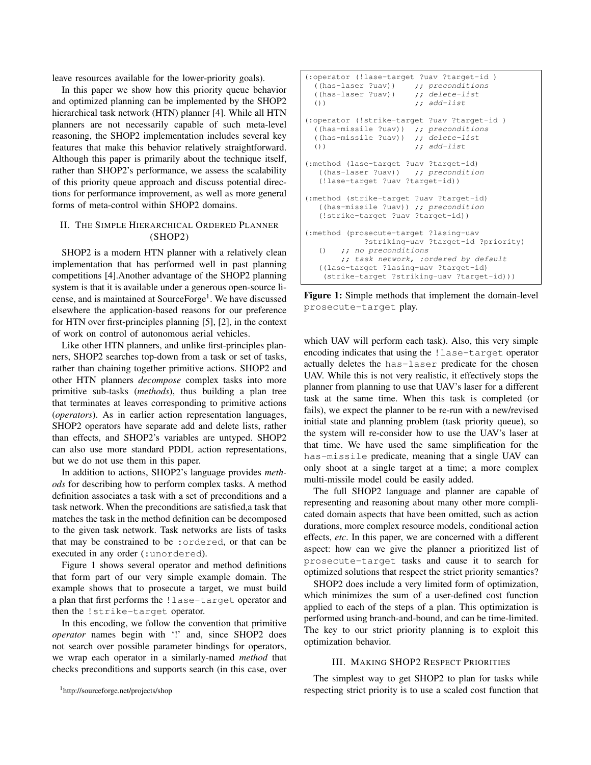leave resources available for the lower-priority goals).

In this paper we show how this priority queue behavior and optimized planning can be implemented by the SHOP2 hierarchical task network (HTN) planner [4]. While all HTN planners are not necessarily capable of such meta-level reasoning, the SHOP2 implementation includes several key features that make this behavior relatively straightforward. Although this paper is primarily about the technique itself, rather than SHOP2's performance, we assess the scalability of this priority queue approach and discuss potential directions for performance improvement, as well as more general forms of meta-control within SHOP2 domains.

# II. THE SIMPLE HIERARCHICAL ORDERED PLANNER (SHOP2)

SHOP2 is a modern HTN planner with a relatively clean implementation that has performed well in past planning competitions [4].Another advantage of the SHOP2 planning system is that it is available under a generous open-source license, and is maintained at SourceForge<sup>1</sup>. We have discussed elsewhere the application-based reasons for our preference for HTN over first-principles planning [5], [2], in the context of work on control of autonomous aerial vehicles.

Like other HTN planners, and unlike first-principles planners, SHOP2 searches top-down from a task or set of tasks, rather than chaining together primitive actions. SHOP2 and other HTN planners *decompose* complex tasks into more primitive sub-tasks (*methods*), thus building a plan tree that terminates at leaves corresponding to primitive actions (*operators*). As in earlier action representation languages, SHOP2 operators have separate add and delete lists, rather than effects, and SHOP2's variables are untyped. SHOP2 can also use more standard PDDL action representations, but we do not use them in this paper.

In addition to actions, SHOP2's language provides *methods* for describing how to perform complex tasks. A method definition associates a task with a set of preconditions and a task network. When the preconditions are satisfied,a task that matches the task in the method definition can be decomposed to the given task network. Task networks are lists of tasks that may be constrained to be :ordered, or that can be executed in any order (:unordered).

Figure 1 shows several operator and method definitions that form part of our very simple example domain. The example shows that to prosecute a target, we must build a plan that first performs the !lase-target operator and then the !strike-target operator.

In this encoding, we follow the convention that primitive *operator* names begin with '!' and, since SHOP2 does not search over possible parameter bindings for operators, we wrap each operator in a similarly-named *method* that checks preconditions and supports search (in this case, over

```
(:operator (!lase-target ?uav ?target-id)<br>((has-laser ?uav)) :: preconditions
                        ;; preconditions<br>;; delete-list
  ((has-laser ?uav))
  ()) ; add-list(:operator (!strike-target ?uav ?target-id )
  ((has-missile ?uav)) ;; preconditions
  ((has-missile ?uav)) ;; delete-list
  ()) ; add-list(:method (lase-target ?uav ?target-id)
   ((has-laser ?uav)) ;; precondition
   (!lase-target ?uav ?target-id))
(:method (strike-target ?uav ?target-id)
   ((has-missile ?uav)) ;; precondition
   (!strike-target ?uav ?target-id))
(:method (prosecute-target ?lasing-uav
            ?striking-uav ?target-id ?priority)
   () ;; no preconditions
        ;; task network, :ordered by default
   ((lase-target ?lasing-uav ?target-id)
```
Figure 1: Simple methods that implement the domain-level prosecute-target play.

(strike-target ?striking-uav ?target-id)))

which UAV will perform each task). Also, this very simple encoding indicates that using the !lase-target operator actually deletes the has-laser predicate for the chosen UAV. While this is not very realistic, it effectively stops the planner from planning to use that UAV's laser for a different task at the same time. When this task is completed (or fails), we expect the planner to be re-run with a new/revised initial state and planning problem (task priority queue), so the system will re-consider how to use the UAV's laser at that time. We have used the same simplification for the has-missile predicate, meaning that a single UAV can only shoot at a single target at a time; a more complex multi-missile model could be easily added.

The full SHOP2 language and planner are capable of representing and reasoning about many other more complicated domain aspects that have been omitted, such as action durations, more complex resource models, conditional action effects, *etc*. In this paper, we are concerned with a different aspect: how can we give the planner a prioritized list of prosecute-target tasks and cause it to search for optimized solutions that respect the strict priority semantics?

SHOP2 does include a very limited form of optimization, which minimizes the sum of a user-defined cost function applied to each of the steps of a plan. This optimization is performed using branch-and-bound, and can be time-limited. The key to our strict priority planning is to exploit this optimization behavior.

### III. MAKING SHOP2 RESPECT PRIORITIES

The simplest way to get SHOP2 to plan for tasks while respecting strict priority is to use a scaled cost function that

```
1http://sourceforge.net/projects/shop
```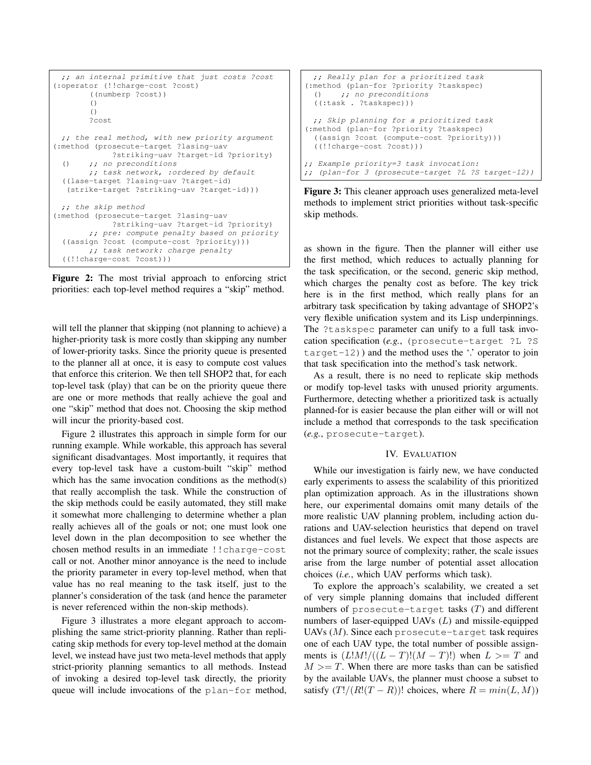```
;; an internal primitive that just costs ?cost
(:operator (!!charge-cost ?cost)
        ((numberp ?cost))
        ()
        ()
       ?cost
 ;; the real method, with new priority argument
(:method (prosecute-target ?lasing-uav
             ?striking-uav ?target-id ?priority)
  () ;; no preconditions
       ;; task network, :ordered by default
  ((lase-target ?lasing-uav ?target-id)
   (strike-target ?striking-uav ?target-id)))
 ;; the skip method
(:method (prosecute-target ?lasing-uav
            ?striking-uav ?target-id ?priority)
        ;; pre: compute penalty based on priority
  ((assign ?cost (compute-cost ?priority)))
       ;; task network: charge penalty
  ((!!charge-cost ?cost)))
```
Figure 2: The most trivial approach to enforcing strict priorities: each top-level method requires a "skip" method.

will tell the planner that skipping (not planning to achieve) a higher-priority task is more costly than skipping any number of lower-priority tasks. Since the priority queue is presented to the planner all at once, it is easy to compute cost values that enforce this criterion. We then tell SHOP2 that, for each top-level task (play) that can be on the priority queue there are one or more methods that really achieve the goal and one "skip" method that does not. Choosing the skip method will incur the priority-based cost.

Figure 2 illustrates this approach in simple form for our running example. While workable, this approach has several significant disadvantages. Most importantly, it requires that every top-level task have a custom-built "skip" method which has the same invocation conditions as the method(s) that really accomplish the task. While the construction of the skip methods could be easily automated, they still make it somewhat more challenging to determine whether a plan really achieves all of the goals or not; one must look one level down in the plan decomposition to see whether the chosen method results in an immediate !!charge-cost call or not. Another minor annoyance is the need to include the priority parameter in every top-level method, when that value has no real meaning to the task itself, just to the planner's consideration of the task (and hence the parameter is never referenced within the non-skip methods).

Figure 3 illustrates a more elegant approach to accomplishing the same strict-priority planning. Rather than replicating skip methods for every top-level method at the domain level, we instead have just two meta-level methods that apply strict-priority planning semantics to all methods. Instead of invoking a desired top-level task directly, the priority queue will include invocations of the plan-for method,

```
;; Really plan for a prioritized task
(:method (plan-for ?priority ?taskspec)
  () ;; no preconditions
  ((:task . ?taskspec)))
 ;; Skip planning for a prioritized task
(:method (plan-for ?priority ?taskspec)
  ((assign ?cost (compute-cost ?priority)))
  ((!!charge-cost ?cost)))
;; Example priority=3 task invocation:
;; (plan-for 3 (prosecute-target ?L ?S target-12))
```
Figure 3: This cleaner approach uses generalized meta-level methods to implement strict priorities without task-specific skip methods.

as shown in the figure. Then the planner will either use the first method, which reduces to actually planning for the task specification, or the second, generic skip method, which charges the penalty cost as before. The key trick here is in the first method, which really plans for an arbitrary task specification by taking advantage of SHOP2's very flexible unification system and its Lisp underpinnings. The ?taskspec parameter can unify to a full task invocation specification (*e.g.*, (prosecute-target ?L ?S target-12)) and the method uses the  $\cdot$  operator to join that task specification into the method's task network.

As a result, there is no need to replicate skip methods or modify top-level tasks with unused priority arguments. Furthermore, detecting whether a prioritized task is actually planned-for is easier because the plan either will or will not include a method that corresponds to the task specification (*e.g.*, prosecute-target).

## IV. EVALUATION

While our investigation is fairly new, we have conducted early experiments to assess the scalability of this prioritized plan optimization approach. As in the illustrations shown here, our experimental domains omit many details of the more realistic UAV planning problem, including action durations and UAV-selection heuristics that depend on travel distances and fuel levels. We expect that those aspects are not the primary source of complexity; rather, the scale issues arise from the large number of potential asset allocation choices (*i.e.*, which UAV performs which task).

To explore the approach's scalability, we created a set of very simple planning domains that included different numbers of prosecute-target tasks  $(T)$  and different numbers of laser-equipped UAVs (L) and missile-equipped UAVs  $(M)$ . Since each prosecute-target task requires one of each UAV type, the total number of possible assignments is  $(L!M!/((L-T)!(M-T)!))$  when  $L \geq T$  and  $M \geq T$ . When there are more tasks than can be satisfied by the available UAVs, the planner must choose a subset to satisfy  $(T!/(R!(T - R))!$  choices, where  $R = min(L, M))$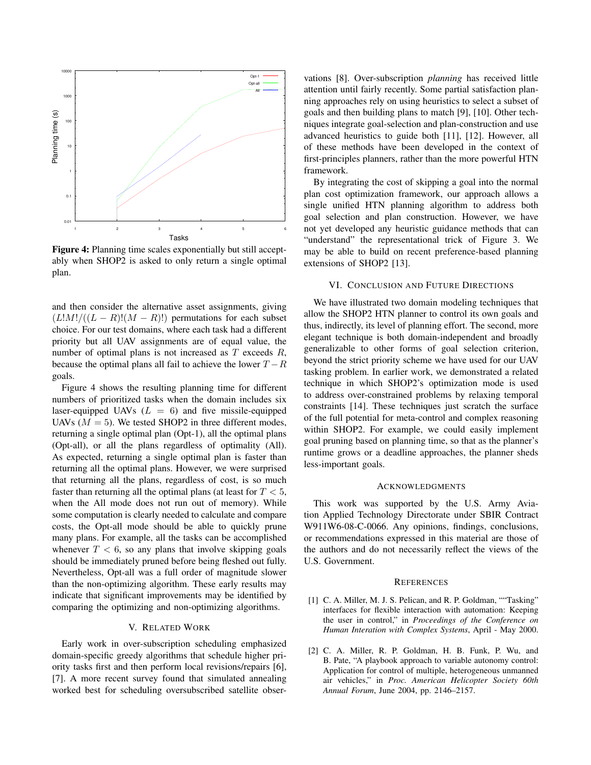

Figure 4: Planning time scales exponentially but still acceptably when SHOP2 is asked to only return a single optimal plan.

and then consider the alternative asset assignments, giving  $(L!M!/((L-R)!(M-R)!))$  permutations for each subset choice. For our test domains, where each task had a different priority but all UAV assignments are of equal value, the number of optimal plans is not increased as  $T$  exceeds  $R$ , because the optimal plans all fail to achieve the lower  $T - R$ goals.

Figure 4 shows the resulting planning time for different numbers of prioritized tasks when the domain includes six laser-equipped UAVs  $(L = 6)$  and five missile-equipped UAVs  $(M = 5)$ . We tested SHOP2 in three different modes, returning a single optimal plan (Opt-1), all the optimal plans (Opt-all), or all the plans regardless of optimality (All). As expected, returning a single optimal plan is faster than returning all the optimal plans. However, we were surprised that returning all the plans, regardless of cost, is so much faster than returning all the optimal plans (at least for  $T < 5$ , when the All mode does not run out of memory). While some computation is clearly needed to calculate and compare costs, the Opt-all mode should be able to quickly prune many plans. For example, all the tasks can be accomplished whenever  $T < 6$ , so any plans that involve skipping goals should be immediately pruned before being fleshed out fully. Nevertheless, Opt-all was a full order of magnitude slower than the non-optimizing algorithm. These early results may indicate that significant improvements may be identified by comparing the optimizing and non-optimizing algorithms.

### V. RELATED WORK

Early work in over-subscription scheduling emphasized domain-specific greedy algorithms that schedule higher priority tasks first and then perform local revisions/repairs [6], [7]. A more recent survey found that simulated annealing worked best for scheduling oversubscribed satellite observations [8]. Over-subscription *planning* has received little attention until fairly recently. Some partial satisfaction planning approaches rely on using heuristics to select a subset of goals and then building plans to match [9], [10]. Other techniques integrate goal-selection and plan-construction and use advanced heuristics to guide both [11], [12]. However, all of these methods have been developed in the context of first-principles planners, rather than the more powerful HTN framework.

By integrating the cost of skipping a goal into the normal plan cost optimization framework, our approach allows a single unified HTN planning algorithm to address both goal selection and plan construction. However, we have not yet developed any heuristic guidance methods that can "understand" the representational trick of Figure 3. We may be able to build on recent preference-based planning extensions of SHOP2 [13].

#### VI. CONCLUSION AND FUTURE DIRECTIONS

We have illustrated two domain modeling techniques that allow the SHOP2 HTN planner to control its own goals and thus, indirectly, its level of planning effort. The second, more elegant technique is both domain-independent and broadly generalizable to other forms of goal selection criterion, beyond the strict priority scheme we have used for our UAV tasking problem. In earlier work, we demonstrated a related technique in which SHOP2's optimization mode is used to address over-constrained problems by relaxing temporal constraints [14]. These techniques just scratch the surface of the full potential for meta-control and complex reasoning within SHOP2. For example, we could easily implement goal pruning based on planning time, so that as the planner's runtime grows or a deadline approaches, the planner sheds less-important goals.

#### ACKNOWLEDGMENTS

This work was supported by the U.S. Army Aviation Applied Technology Directorate under SBIR Contract W911W6-08-C-0066. Any opinions, findings, conclusions, or recommendations expressed in this material are those of the authors and do not necessarily reflect the views of the U.S. Government.

#### **REFERENCES**

- [1] C. A. Miller, M. J. S. Pelican, and R. P. Goldman, ""Tasking" interfaces for flexible interaction with automation: Keeping the user in control," in *Proceedings of the Conference on Human Interation with Complex Systems*, April - May 2000.
- [2] C. A. Miller, R. P. Goldman, H. B. Funk, P. Wu, and B. Pate, "A playbook approach to variable autonomy control: Application for control of multiple, heterogeneous unmanned air vehicles," in *Proc. American Helicopter Society 60th Annual Forum*, June 2004, pp. 2146–2157.